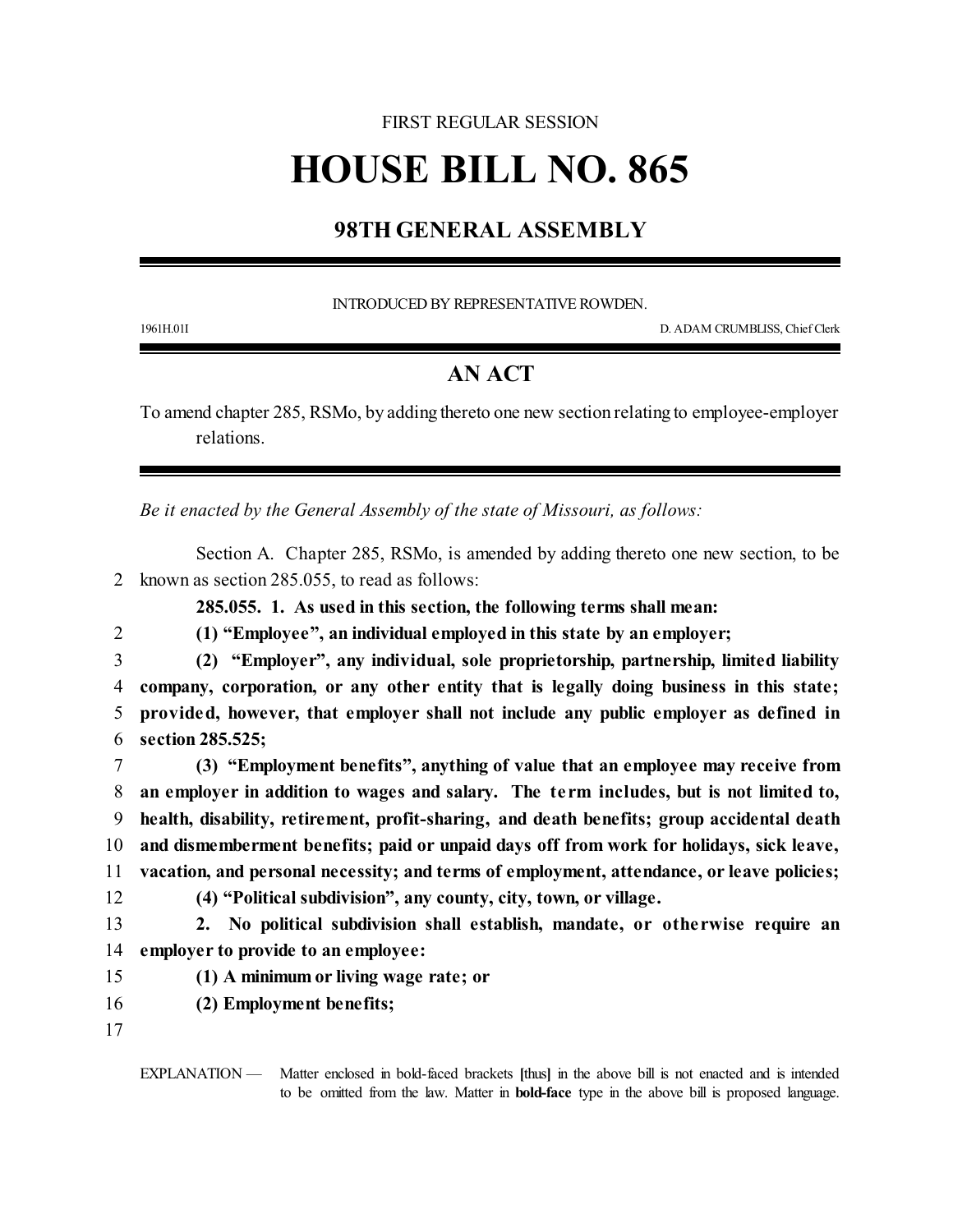## FIRST REGULAR SESSION

## **HOUSE BILL NO. 865**

## **98TH GENERAL ASSEMBLY**

INTRODUCED BY REPRESENTATIVE ROWDEN.

1961H.01I D. ADAM CRUMBLISS, Chief Clerk

## **AN ACT**

To amend chapter 285, RSMo, by adding thereto one new section relating to employee-employer relations.

*Be it enacted by the General Assembly of the state of Missouri, as follows:*

Section A. Chapter 285, RSMo, is amended by adding thereto one new section, to be 2 known as section 285.055, to read as follows:

**285.055. 1. As used in this section, the following terms shall mean:**

2 **(1) "Employee", an individual employed in this state by an employer;**

 **(2) "Employer", any individual, sole proprietorship, partnership, limited liability company, corporation, or any other entity that is legally doing business in this state; provided, however, that employer shall not include any public employer as defined in section 285.525;**

 **(3) "Employment benefits", anything of value that an employee may receive from an employer in addition to wages and salary. The term includes, but is not limited to, health, disability, retirement, profit-sharing, and death benefits; group accidental death and dismemberment benefits; paid or unpaid days off from work for holidays, sick leave, vacation, and personal necessity; and terms of employment, attendance, or leave policies; (4) "Political subdivision", any county, city, town, or village.**

13 **2. No political subdivision shall establish, mandate, or otherwise require an** 14 **employer to provide to an employee:**

15 **(1) A minimum or living wage rate; or**

- 16 **(2) Employment benefits;**
- 17

EXPLANATION — Matter enclosed in bold-faced brackets **[**thus**]** in the above bill is not enacted and is intended to be omitted from the law. Matter in **bold-face** type in the above bill is proposed language.